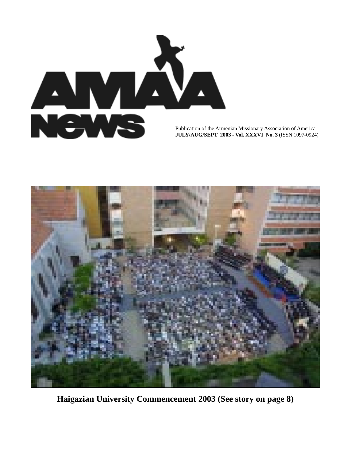

Publication of the Armenian Missionary Association of America **JULY/AUG/SEPT 2003 - Vol. XXXVI No. 3** (ISSN 1097-0924)



**Haigazian University Commencement 2003 (See story on page 8)**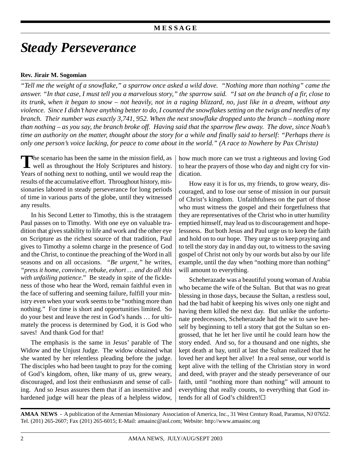# *Steady Perseverance*

## **Rev. Jirair M. Sogomian**

*"Tell me the weight of a snowflake," a sparrow once asked a wild dove. "Nothing more than nothing" came the answer. "In that case, I must tell you a marvelous story," the sparrow said. "I sat on the branch of a fir, close to its trunk, when it began to snow – not heavily, not in a raging blizzard, no, just like in a dream, without any violence. Since I didn't have anything better to do, I counted the snowflakes setting on the twigs and needles of my branch. Their number was exactly 3,741, 952. When the next snowflake dropped unto the branch – nothing more than nothing – as you say, the branch broke off. Having said that the sparrow flew away. The dove, since Noah's time an authority on the matter, thought about the story for a while and finally said to herself: "Perhaps there is only one person's voice lacking, for peace to come about in the world." (A race to Nowhere by Pax Christa)*

The scenario has been the same in the mission field, as well as throughout the Holy Scriptures and history. Years of nothing next to nothing, until we would reap the results of the accumulative effort. Throughout history, missionaries labored in steady perseverance for long periods of time in various parts of the globe, until they witnessed any results.

In his Second Letter to Timothy, this is the stratagem Paul passes on to Timothy. With one eye on valuable tradition that gives stability to life and work and the other eye on Scripture as the richest source of that tradition, Paul gives to Timothy a solemn charge in the presence of God and the Christ, to continue the preaching of the Word in all seasons and on all occasions. *"Be urgent,"* he writes*, "press it home, convince, rebuke, exhort … and do all this with unfailing patience*."Be steady in spite of the fickleness of those who hear the Word, remain faithful even in the face of suffering and seeming failure, fulfill your ministry even when your work seems to be "nothing more than nothing." For time is short and opportunities limited. So do your best and leave the rest in God's hands … for ultimately the process is determined by God, it is God who saves! And thank God for that!

The emphasis is the same in Jesus' parable of The Widow and the Unjust Judge. The widow obtained what she wanted by her relentless pleading before the judge. The disciples who had been taught to pray for the coming of God's kingdom, often, like many of us, grew weary, discouraged, and lost their enthusiasm and sense of calling. And so Jesus assures them that if an insensitive and hardened judge will hear the pleas of a helpless widow,

how much more can we trust a righteous and loving God to hear the prayers of those who day and night cry for vindication.

How easy it is for us, my friends, to grow weary, discouraged, and to lose our sense of mission in our pursuit of Christ's kingdom. Unfaithfulness on the part of those who must witness the gospel and their forgetfulness that they are representatives of the Christ who in utter humility emptied himself, may lead us to discouragement and hopelessness. But both Jesus and Paul urge us to keep the faith and hold on to our hope. They urge us to keep praying and to tell the story day in and day out, to witness to the saving gospel of Christ not only by our words but also by our life example, until the day when "nothing more than nothing" will amount to everything.

Scheherazade was a beautiful young woman of Arabia who became the wife of the Sultan. But that was no great blessing in those days, because the Sultan, a restless soul, had the bad habit of keeping his wives only one night and having them killed the next day. But unlike the unfortunate predecessors, Scheherazade had the wit to save herself by beginning to tell a story that got the Sultan so engrossed, that he let her live until he could learn how the story ended. And so, for a thousand and one nights, she kept death at bay, until at last the Sultan realized that he loved her and kept her alive! In a real sense, our world is kept alive with the telling of the Christian story in word and deed, with prayer and the steady perseverance of our faith, until "nothing more than nothing" will amount to everything that really counts, to everything that God intends for all of God's children!G

**AMAA NEWS** - A publication of the Armenian Missionary Association of America, Inc., 31 West Century Road, Paramus, NJ 07652. Tel. (201) 265-2607; Fax (201) 265-6015; E-Mail: amaainc@aol.com; Website: http://www.amaainc.org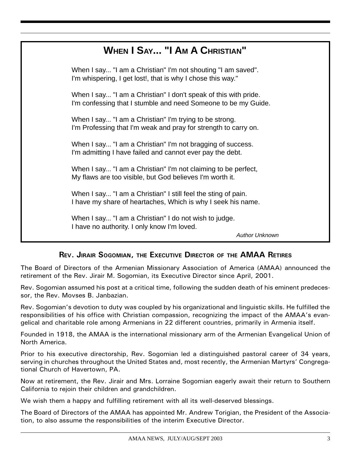# **WHEN I SAY... "I AM A CHRISTIAN"**

When I say... "I am a Christian" I'm not shouting "I am saved". I'm whispering, I get lost!, that is why I chose this way."

When I say... "I am a Christian" I don't speak of this with pride. I'm confessing that I stumble and need Someone to be my Guide.

When I say... "I am a Christian" I'm trying to be strong. I'm Professing that I'm weak and pray for strength to carry on.

When I say... "I am a Christian" I'm not bragging of success. I'm admitting I have failed and cannot ever pay the debt.

When I say... "I am a Christian" I'm not claiming to be perfect, My flaws are too visible, but God believes I'm worth it.

When I say... "I am a Christian" I still feel the sting of pain. I have my share of heartaches, Which is why I seek his name.

When I say... "I am a Christian" I do not wish to judge. I have no authority. I only know I'm loved.

Author Unknown

## REV. JIRAIR SOGOMIAN, THE EXECUTIVE DIRECTOR OF THE AMAA RETIRES

The Board of Directors of the Armenian Missionary Association of America (AMAA) announced the retirement of the Rev. Jirair M. Sogomian, its Executive Director since April, 2001.

Rev. Sogomian assumed his post at a critical time, following the sudden death of his eminent predecessor, the Rev. Movses B. Janbazian.

Rev. Sogomian's devotion to duty was coupled by his organizational and linguistic skills. He fulfilled the responsibilities of his office with Christian compassion, recognizing the impact of the AMAA's evangelical and charitable role among Armenians in 22 different countries, primarily in Armenia itself.

Founded in 1918, the AMAA is the international missionary arm of the Armenian Evangelical Union of North America.

Prior to his executive directorship, Rev. Sogomian led a distinguished pastoral career of 34 years, serving in churches throughout the United States and, most recently, the Armenian Martyrs' Congregational Church of Havertown, PA.

Now at retirement, the Rev. Jirair and Mrs. Lorraine Sogomian eagerly await their return to Southern California to rejoin their children and grandchildren.

We wish them a happy and fulfilling retirement with all its well-deserved blessings.

The Board of Directors of the AMAA has appointed Mr. Andrew Torigian, the President of the Association, to also assume the responsibilities of the interim Executive Director.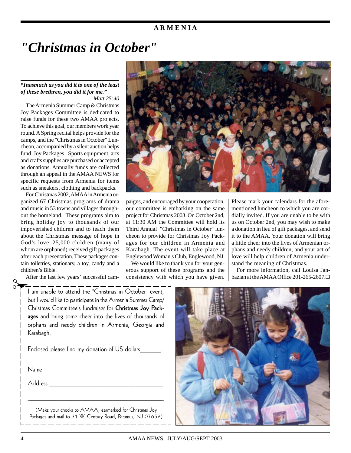### **A R M E N I A**

# *"Christmas in October"*

#### *"Inasmuch as you did it to one of the least of these brethren, you did it for me." Matt.25:40*

The Armenia Summer Camp & Christmas Joy Packages Committee is dedicated to raise funds for these two AMAA projects. To achieve this goal, our members work year round. A Spring recital helps provide for the camps, and the "Christmas in October" Luncheon, accompanied by a silent auction helps fund Joy Packages. Sports equipment, arts and crafts supplies are purchased or accepted as donations. Annually funds are collected through an appeal in the AMAA NEWS for specific requests from Armenia for items such as sneakers, clothing and backpacks.

For Christmas 2002, AMAA in Armenia organized 67 Christmas programs of drama and music in 53 towns and villages throughout the homeland. These programs aim to bring holiday joy to thousands of our impoverished children and to teach them about the Christmas message of hope in God's love. 25,000 children (many of whom are orphaned) received gift packages after each presentation. These packages contain toiletries, stationary, a toy, candy and a children's Bible. tain<br>chil<br>A

After the last few years' successful cam-

I am unable to attend the "Christmas in October" event, but I would like to participate in the Armenia Summer Camp/ Christmas Committee's fundraiser for Christmas Joy Packages and bring some cheer into the lives of thousands of orphans and needy children in Armenia, Georgia and Karabagh.

Enclosed please find my donation of US dollars\_\_\_\_\_\_.

Name \_\_\_\_\_\_\_\_\_\_\_\_\_\_\_\_\_\_\_\_\_\_\_\_\_\_\_\_\_\_\_\_\_\_

Address \_\_\_\_\_\_\_\_\_\_\_\_\_\_\_\_\_\_\_\_\_\_\_\_\_\_\_\_\_\_\_\_\_

(Make your checks to AMAA, earmarked for Christmas Joy Packages and mail to 31 W. Century Road, Paramus, NJ 07652)

 $\mathcal{L}_\text{max}$ 



paigns, and encouraged by your cooperation, our committee is embarking on the same project for Christmas 2003. On October 2nd, at 11:30 AM the Committee will hold its Third Annual "Christmas in October" luncheon to provide for Christmas Joy Packages for our children in Armenia and Karabagh. The event will take place at Englewood Woman's Club, Englewood, NJ.

We would like to thank you for your generous support of these programs and the consistency with which you have given.

Please mark your calendars for the aforementioned luncheon to which you are cordially invited. If you are unable to be with us on October 2nd, you may wish to make a donation in lieu of gift packages, and send it to the AMAA. Your donation will bring a little cheer into the lives of Armenian orphans and needy children, and your act of love will help children of Armenia understand the meaning of Christmas.

For more information, call Louisa Janbazian at the AMAA Office 201-265-2607.

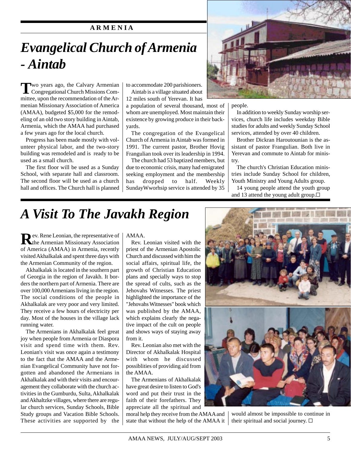## **A R M E N I A**

# *Evangelical Church of Armenia - Aintab*

**T**wo years ago, the Calvary Armenian Congregational Church Missions Committee, upon the recommendation of the Armenian Missionary Association of America (AMAA), budgeted \$5,000 for the remodeling of an old two story building in Aintab, Armenia, which the AMAA had purchased a few years ago for the local church.

Progress has been made mostly with volunteer physical labor, and the two-story building was remodeled and is ready to be used as a small church.

The first floor will be used as a Sunday School, with separate hall and classroom. The second floor will be used as a church hall and offices. The Church hall is planned to accommodate 200 parishioners.

Aintab is a village situated about 12 miles south of Yerevan. It has

a population of several thousand, most of whom are unemployed. Most maintain their existence by growing produce in their backyards.

The congregation of the Evangelical Church of Armenia in Aintab was formed in 1991. The current pastor, Brother Hovig Frangulian took over its leadership in 1994.

The church had 53 baptized members, but due to economic crisis, many had emigrated seeking employment and the membership has dropped to half. Weekly SundayWworhsip service is attended by 35



people.

In addition to weekly Sunday worship services, church life includes weekday Bible studies for adults and weekly Sunday School services, attended by over 40 children.

Brother Dickran Haroutounian is the assistant of pastor Frangulian. Both live in Yerevan and commute to Aintab for ministry.

The church's Christian Education ministries include Sunday School for children, Youth Ministry and Young Adults group.

14 young people attend the youth group and 13 attend the young adult group. $\square$ 

# *A Visit To The Javakh Region*

**R**ev. Rene Leonian, the representative of the Armenian Missionary Association of America (AMAA) in Armenia, recently visited Akhalkalak and spent three days with the Armenian Community of the region.

Akhalkalak is located in the southern part of Georgia in the region of Javakh. It borders the northern part of Armenia. There are over 100,000 Armenians living in the region. The social conditions of the people in Akhalkalak are very poor and very limited. They receive a few hours of electricity per day. Most of the houses in the village lack running water.

The Armenians in Akhalkalak feel great joy when people from Armenia or Diaspora visit and spend time with them. Rev. Leonian's visit was once again a testimony to the fact that the AMAA and the Armenian Evangelical Community have not forgotten and abandoned the Armenians in Akhalkalak and with their visits and encouragement they collaborate with the church activities in the Gumburdu, Sulta, Akhalkalak and Akhaltzke villages, where there are regular church services, Sunday Schools, Bible Study groups and Vacation Bible Schools. These activities are supported by the

### AMAA.

Rev. Leonian visited with the priest of the Armenian Apostolic Church and discussed with him the social affairs, spiritual life, the growth of Christian Education plans and specially ways to stop the spread of cults, such as the Jehovahs Witnesses. The priest highlighted the importance of the "Jehovahs Witnesses" book which was published by the AMAA, which explains clearly the negative impact of the cult on people and shows ways of staying away from it.

Rev. Leonian also met with the Director of Akhalkalak Hospital with whom he discussed possiblities of providing aid from the AMAA.

The Armenians of Akhalkalak have great desire to listen to God's word and put their trust in the faith of their forefathers. They appreciate all the spiritual and

moral help they receive from the AMAA and state that without the help of the AMAA it



would almost be impossible to continue in their spiritual and social journey.  $\square$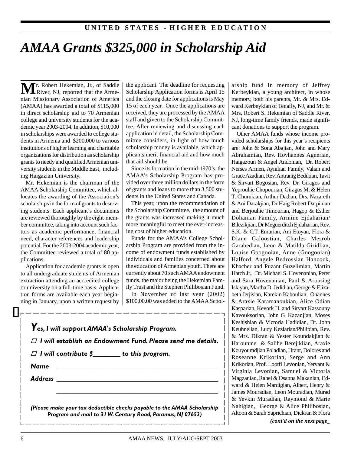# *AMAA Grants \$325,000 in Scholarship Aid*

**M** r. Robert Hekemian, Jr., of Saddle River, NJ, reported that the Armenian Missionary Association of America (AMAA) has awarded a total of \$115,000 in direct scholarship aid to 70 Armenian college and university students for the academic year 2003-2004. In addition, \$10,000 in scholarships were awarded to college students in Armenia and \$200,000 to various institutions of higher learning and charitable organizations for distribution as scholarship grants to needy and qualified Armenian university students in the Middle East, including Haigazian University.

Mr. Hekemian is the chairman of the AMAA Scholarship Committee, which allocates the awarding of the Association's scholarships in the form of grants to deserving students. Each applicant's documents are reviewed thoroughly by the eight-member committee, taking into account such factors as academic performance, financial need, character references and leadership potential. For the 2003-2004 academic year, the Committee reviewed a total of 80 applications.

Application for academic grants is open to all undergraduate students of Armenian extraction attending an accredited college or university on a full-time basis. Application forms are available each year beginning in January, upon a written request by the applicant. The deadline for requesting Scholarship Application forms is April 15 and the closing date for applications is May 15 of each year. Once the applications are received, they are processed by the AMAA staff and given to the Scholarship Committee. After reviewing and discussing each application in detail, the Scholarship Committee considers, in light of how much scholarship money is available, which applicants merit financial aid and how much that aid should be.

Since its formation in the mid-1970's, the AMAA's Scholarship Program has provided over three million dollars in the form of grants and loans to more than 3,500 students in the United States and Canada.

This year, upon the recommendation of the Scholarship Committee, the amount of the grants was increased making it much more meaningful to meet the ever-increasing cost of higher education.

Funds for the AMAA's College Scholarship Program are provided from the income of endowment funds established by individuals and families concerned about the education of Armenian youth. There are currently about 70 such AMAA endowment funds, the major being the Hekemian Family Trust and the Stephen Philibosian Fund.

In November of last year (2002) \$100,00.00 was added to the AMAA Schol-

|                                                                                                                 | $\Box$ I will establish an Endowment Fund. Please send me details. |
|-----------------------------------------------------------------------------------------------------------------|--------------------------------------------------------------------|
| $\Box$ I will contribute $\mathbf{\S}$ _______ to this program.                                                 |                                                                    |
| Name                                                                                                            |                                                                    |
| Address and the contract of the contract of the contract of the contract of the contract of the contract of the |                                                                    |
|                                                                                                                 |                                                                    |

arship fund in memory of Jeffrey Kerbeykian, a young architect, in whose memory, both his parents, Mr. & Mrs. Edward Kerbeykian of Tenafly, NJ, and Mr. & Mrs. Robert S. Hekemian of Saddle River, NJ, long-time family friends, made significant donations to support the program.

Other AMAA funds whose income provided scholarships for this year's recipients are: John & Sona Abajian, John and Mary Abrahamian, Rev. Hovhannes Agnerian, Haigazoun & Angel Andonian, Dr. Robert Nerses Armen, Aynilian Family, Vahan and Grace Azadian, Rev. Antranig Bedikian, Tavit & Sirvart Bogosian, Rev. Dr. Giragos and Yeprouhie Chopourian, Giragos M. & Helen T. Churukian, Arthur Dadian, Drs. Nazareth & Ani Darakjian, Dr Haig Robert Darpinian and Berjouhie Timourian, Hagop & Esther Dohanian Family, Armine Ejdaharian/ Bilezikjian, Dr Meguerditch Ejdaharian, Rev. S.K. & G.T. Emurian, Ani Etoyan, Flora & Diane Galoostian, Charles Mesrob Garabedian, Leon & Matilda Giridlian, Louise Googooian, Anne (Googooian) Halford, Angele Bedrossian Hancock, Khacher and Puzant Guzelimian, Martin Hatch Jr., Dr. Michael S. Hovenanian, Peter and Sara Hovenanian, Paul & Arousiag Iskiyan, Martha D. Jedidian, George & Elizabeth Jeriisian, Karekin Kaboulian, Ohannes & Araxie Karamanoukian, Alice Odian Kasparian, Kevork H. and Sirvart Kassouny Kavouksorian, John G. Kazanjian, Moses Keshishian & Victoria Hadidian, Dr. John Keuhnelian, Lucy Kezlarian/Philipian, Rev. & Mrs. Dikran & Yester Koundakjian & Haroutune & Salihe Berejiklian, Araxie Kouyoumdjian Poladian, Hrant, Dolores and Roseanne Krikorian, Serge and Ann Krikorian, Prof. Lootfi Levonian, Yervant & Virginia Levonian, Samuel & Victoria Magzanian, Rahel & Osanna Makanian, Edward & Helen Mardigian, Albert, Henry & James Mouradian, Leon Mouradian, Murad & Yevkin Muradian, Raymond & Marie Nahigian, George & Alice Philibosian, Altoon & Sarah Saprichian, Dickran & Flora

*(cont'd on the next page\_*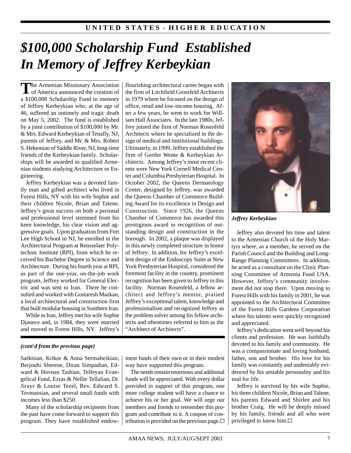# *\$100,000 Scholarship Fund Established In Memory of Jeffrey Kerbeykian*

The Armenian Missionary Association<br>
of America announced the creation of a \$100,000 Scholarship Fund in memory of Jeffrey Kerbeykian who, at the age of 46, suffered an untimely and tragic death on May 5, 2002. The fund is established by a joint contribution of \$100,000 by Mr. & Mrs. Edward Kerbeykian of Tenafly, NJ, parents of Jeffrey, and Mr. & Mrs. Robert S. Hekemian of Saddle River, NJ, long-time friends of the Kerbeykian family. Scholarships will be awarded to qualified Armenian students studying Architecture or Engineering.

Jeffrey Kerbeykian was a devoted family man and gifted architect who lived in Forest Hills, NY with his wife Sophie and their children Nicole, Brian and Talene. Jeffrey's great success on both a personal and professional level stemmed from his keen knowledge, his clear vision and aggressive goals. Upon graduation from Fort Lee High School in NJ, he enrolled in the Architectural Program at Rensselaer Polytechnic Institute (RPI), from which he received his Bachelor Degree in Science and Architecture. During his fourth year at RPI, as part of the one-year, on-the-job work program, Jeffrey worked for General Electric and was sent to Iran. There he consulted and worked with Gostaresh Mazkan, a local architectural and construction firm that built modular housing in Southern Iran.

While in Iran, Jeffrey met his wife Sophie Djanece and, in 1984, they were married and moved to Forest Hills, NY. Jeffrey's

### *(cont'd from the previous page)*

Sarkisian, Krikor & Anna Sermabeikian, Berjouhi Sherene, Diran Simpadian, Edward & Hovnan Tashian, Telfeyan Evangelical Fund, Ezras & Nellie Tellalian, Dr. Jirayr & Louise Tezel, Rev. Edward S. Tovmassian, and several small funds with incomes less than \$250.

Many of the scholarship recipients from the past have come forward to support this program. They have established endowflourishing architectural career began with the firm of Litchfield Grossfeld Architects in 1979 where he focused on the design of office, retail and low-income housing. After a few years, he went to work for William Hall Associates. In the late 1980s, Jeffrey joined the firm of Norman Rosenfeld Architects where he specialized in the design of medical and institutional buildings. Ultimately, in 1999, Jeffrey established the firm of Gertler Wente & Kerbeykian Architects. Among Jeffrey's most recent clients were New York Cornell Medical Center and Columbia Presbyterian Hospital. In October 2002, the Queens Dermatology Center, designed by Jeffrey, was awarded the Queens Chamber of Commerce Building Award for its excellence in Design and Construction. Since 1926, the Queens Chamber of Commerce has awarded this prestigious award in recognition of outstanding design and construction in the borough. In 2002, a plaque was displayed in this newly completed structure in honor of Jeffrey. In addition, for Jeffrey's excellent design of the Endoscopy Suite at New York Presbyterian Hospital, considered the foremost facility in the country, prominent recognition has been given to Jeffrey in this facility. Norman Rosenfeld, a fellow architect and Jeffrey's mentor, praised Jeffrey's exceptional talent, knowledge and professionalism and recognized Jeffrey as the problem solver among his fellow architects and oftentimes referred to him as the "Architect of Architects".

ment funds of their own or in their modest way have supported this program.

The needs remain enormous and additonal funds will be appreciated. With every dollar provided in support of this program, one more college student will have a chance to achieve his or her goal. We will urge our members and friends to remember this program and contribute to it. A coupon of contribution is provided on the previous page.  $\Box$ 



*Jeffrey Kerbeykian*

Jeffrey also devoted his time and talent to the Armenian Church of the Holy Martyrs where, as a member, he served on the Parish Council and the Building and Long-Range Planning Committees. In addition, he acted as a consultant on the Clinic Planning Committee of Armenia Fund USA. However, Jeffrey's community involvement did not stop there. Upon moving to Forest Hills with his family in 2001, he was appointed to the Architectural Committee of the Forest Hills Gardens Corporation where his talents were quickly recognized and appreciated.

Jeffrey's dedication went well beyond his clients and profession. He was faithfully devoted to his family and community. He was a compassionate and loving husband, father, son and brother. His love for his family was constantly and undeniably evidenced by his amiable personality and his zeal for life.

Jeffrey is survived by his wife Sophie, his three children Nicole, Brian and Talene, his parents Edward and Shirlee and his brother Craig. He will be deeply missed by his family, friends and all who were privileged to know him.G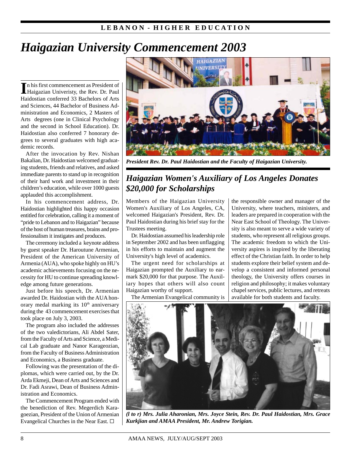## **L E B A N O N - H I G H E R E D U C A T I O N**

# *Haigazian University Commencement 2003*

In his first commencement as President of<br>Haigazian Univeristy, the Rev. Dr. Paul n his first commencement as President of Haidostian conferred 33 Bachelors of Arts and Sciences, 44 Bachelor of Business Administration and Economics, 2 Masters of Arts degrees (one in Clinical Psychology and the second in School Education). Dr. Haidostian also conferred 7 honorary degrees to several graduates with high academic records.

After the invocation by Rev. Nishan Bakalian, Dr. Haidostian welcomed graduating students, friends and relatives, and asked immediate parents to stand up in recognition of their hard work and investment in their children's education, while over 1000 guests applauded this accomplishment.

In his commencement address, Dr. Haidostian highlighted this happy occasion entitled for celebration, calling it a moment of "pride to Lebanon and to Haigazian" because of the host of human treasures, brains and professionalism it instigates and produces.

The ceremony included a keynote address by guest speaker Dr. Haroutune Armenian, President of the American University of Armenia (AUA), who spoke highly on HU's academic achievements focusing on the necessity for HU to continue spreading knowledge among future generations.

Just before his speech, Dr. Armenian awarded Dr. Haidostian with the AUA honorary medal marking its  $10<sup>th</sup>$  anniversary during the 43 commencement exercises that took place on July 3, 2003.

The program also included the addresses of the two valedictorians, Ali Abdel Sater, from the Faculty of Arts and Science, a Medical Lab graduate and Nanor Karageozian, from the Faculty of Business Administration and Economics, a Business graduate.

Following was the presentation of the diplomas, which were carried out, by the Dr. Arda Ekmeji, Dean of Arts and Sciences and Dr. Fadi Asrawi, Dean of Business Administration and Economics.

The Commencement Program ended with the benediction of Rev. Megerdich Karagoezian, President of the Union of Armenian Evangelical Churches in the Near East. G



*President Rev. Dr. Paul Haidostian and the Faculty of Haigazian University.*

# *Haigazian Women's Auxiliary of Los Angeles Donates \$20,000 for Scholarships*

Members of the Haigazian University Women's Auxiliary of Los Angeles, CA, welcomed Haigazian's President, Rev. Dr. Paul Haidostian during his brief stay for the Trustees meeting.

Dr. Haidostian assumed his leadership role in September 2002 and has been unflagging in his efforts to maintain and augment the University's high level of academics.

The urgent need for scholarships at Haigazian prompted the Auxiliary to earmark \$20,000 for that purpose. The Auxiliary hopes that others will also count Haigazian worthy of support.

leaders are prepared in cooperation with the Near East School of Theology. The University is also meant to serve a wide variety of students, who represent all religious groups. The academic freedom to which the University aspires is inspired by the liberating effect of the Christian faith. In order to help students explore their belief system and develop a consistent and informed personal theology, the University offers courses in religion and philosophy; it makes voluntary chapel services, public lectures, and retreats available for both students and faculty.

the responsible owner and manager of the University, where teachers, ministers, and

The Armenian Evangelical community is



*(l to r) Mrs. Julia Aharonian, Mrs. Joyce Stein, Rev. Dr. Paul Haidostian, Mrs. Grace Kurkjian and AMAA President, Mr. Andrew Torigian.*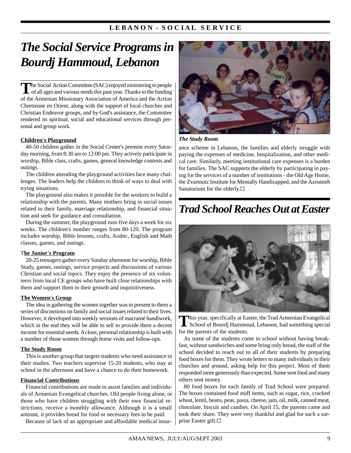## L E BANON - SOCIAL SERVICE

# *The Social Service Programs in Bourdj Hammoud, Lebanon*

The Social Action Committee (SAC) enjoyed ministering to people<br>of all ages and various needs this past year. Thanks to the funding of the Armenian Missionary Association of America and the Action Chretienne en Orient, along with the support of local churches and Christian Endeavor groups, and by God's assistance, the Committee rendered its spiritual, social and educational services through personal and group work.

### **Children's Playground**

40-50 children gather in the Social Center's premise every Saturday morning, from 8:30 am to 12:00 pm. They actively participate in worship, Bible class, crafts, games, general knowledge contests and outings.

The children attending the playground activities face many challenges. The leaders help the children to think of ways to deal with trying situations.

The playground also makes it possible for the workers to build a relationship with the parents. Many mothers bring in social issues related to their family, marriage relationship, and financial situation and seek for guidance and consultation.

During the summer, the playground runs five days a week for six weeks. The children's number ranges from 80-120. The program includes worship, Bible lessons, crafts, Arabic, English and Math classes, games, and outings.

#### T**he Junior's Program**

20-25 teenagers gather every Sunday afternoon for worship, Bible Study, games, outings, service projects and discussions of various Christian and social topics. They enjoy the presence of six volunteers from local CE groups who have built close relationships with them and support them in their growth and inquisitiveness.

#### **The Women's Group**

The idea in gathering the women together was to present to them a series of discussions on family and social issues related to their lives. However, it developed into weekly sessions of macramé handiwork, which in the end they will be able to sell to provide them a decent income for essential needs. A close, personal relationship is built with a number of those women through home visits and follow-ups.

#### **The Study Room**

This is another group that targets students who need assistance in their studies. Two teachers supervise 15-20 students, who stay at school in the afternoon and have a chance to do their homework.

### **Financial Contributions**

Financial contributions are made to assist families and individuals of Armenian Evangelical churches. Old people living alone, or those who have children struggling with their own financial restrictions, receive a monthly allowance. Although it is a small amount, it provides bread for food or necessary fees to be paid.

Because of lack of an appropriate and affordable medical insur-



*The Study Room.*

ance scheme in Lebanon, the families and elderly struggle with paying the expenses of medicine, hospitalization, and other medical care. Similarly, meeting institutional care expenses is a burden for families. The SAC supports the elderly by participating in paying for the services of a number of institutions - the Old Age Home, the Zvartnotz Institute for Mentally Handicapped, and the Azounieh Sanatorium for the elderly.G

# *Trad School Reaches Out at Easter*



This year, specifically at Easter, the Trad Armenian Evangelical<br>School of Bourdj Hammoud, Lebanon, had something special for the parents of the students.

As some of the students come to school without having breakfast, without sandwiches and some bring only bread, the staff of the school decided to reach out to all of their students by preparing food boxes for them. They wrote letters to many individuals in their churches and around, asking help for this project. Most of them responded more generously than expected. Some sent food and many others sent money.

80 food boxes for each family of Trad School were prepared. The boxes contained food stuff items, such as sugar, rice, cracked wheat, lentil, beans, peas, pasta, cheese, jam, oil, milk, canned meat, chocolate, biscuit and candies. On April 15, the parents came and took their share. They were very thankful and glad for such a surprise Easter gift.□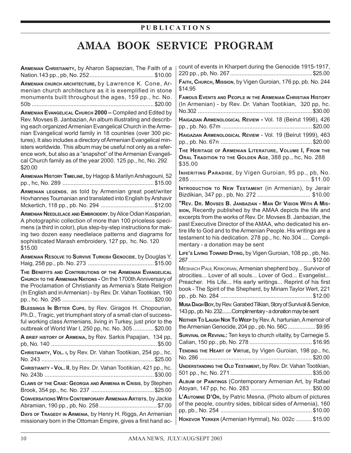## **P U B L I C A T I O N S**

# **AMAA BOOK SERVICE PROGRAM**

| ARMENIAN CHRISTIANITY, by Aharon Sapsezian, The Faith of a                                                                                                                                                                                                                                                                     | count of events in Kharpert during the Genocide 1915-1917,                                                                                                                                                                                                                                     |
|--------------------------------------------------------------------------------------------------------------------------------------------------------------------------------------------------------------------------------------------------------------------------------------------------------------------------------|------------------------------------------------------------------------------------------------------------------------------------------------------------------------------------------------------------------------------------------------------------------------------------------------|
| ARMENIAN CHURCH ARCHITECTURE, by Lawrence K. Cone, Ar-<br>menian church architecture as it is exemplified in stone                                                                                                                                                                                                             | FAITH, Снивсн, Mission, by Vigen Guroian, 176 pp, pb. No. 244<br>\$14.95                                                                                                                                                                                                                       |
| monuments built throughout the ages, 159 pp., hc. No.                                                                                                                                                                                                                                                                          | <b>FAMOUS EVENTS AND PEOPLE IN THE ARMENIAN CHRISTIAN HISTORY</b><br>(In Armenian) - by Rev. Dr. Vahan Tootikian, 320 pp, hc.                                                                                                                                                                  |
| ARMENIAN EVANGELICAL CHURCH 2000 - Compiled and Edited by<br>Rev. Movses B. Janbazian, An album illustrating and describ-                                                                                                                                                                                                      | HAIGAZIAN ARMENOLOGICAL REVIEW - Vol. 18 (Beirut 1998), 426                                                                                                                                                                                                                                    |
| ing each organized Armenian Evangelical Church in the Arme-<br>nian Evangelical world family in 18 countries (over 300 pic-<br>tures). It also includes a directory of Armenian Evangelical min-                                                                                                                               |                                                                                                                                                                                                                                                                                                |
|                                                                                                                                                                                                                                                                                                                                | HAIGAZIAN ARMENOLOGICAL REVIEW - Vol. 19 (Beirut 1999), 463                                                                                                                                                                                                                                    |
| isters worldwide. This album may be useful not only as a refer-<br>ence work, but also as a "snapshot" of the Armenian Evangeli-<br>cal Church family as of the year 2000. 125 pp., hc, No. 292<br>\$20.00                                                                                                                     | THE HERITAGE OF ARMENIAN LITERATURE, VOLUME I, FROM THE<br>ORAL TRADITION TO THE GOLDEN AGE, 388 pp., hc, No. 288<br>\$35.00                                                                                                                                                                   |
| ARMENIAN HISTORY TIMELINE, by Hagop & Marilyn Arshagouni, 52                                                                                                                                                                                                                                                                   | INHERITING PARADISE, by Vigen Guroian, 95 pp., pb, No.                                                                                                                                                                                                                                         |
| ARMENIAN LEGENDS, as told by Armenian great poet/writer<br>Hovhannes Toumanian and translated into English by Arshavir                                                                                                                                                                                                         | INTRODUCTION TO NEW TESTAMENT (in Armenian), by Jerair                                                                                                                                                                                                                                         |
| Mckertich, 118 pp., pb. No. 294 \$12.00                                                                                                                                                                                                                                                                                        | "Rev. Dr. Movses B. JANBAZIAN - MAN OF VISION WITH A MIS-<br>sion, Recently published by the AMAA depicts the life and                                                                                                                                                                         |
| ARMENIAN NEEDLELACE AND EMBROIDERY, by Alice Odian Kasparian,<br>A photographic collection of more than 100 priceless speci-<br>mens (a third in color), plus step-by-step instructions for mak-<br>ing two dozen easy needlelace patterns and diagrams for<br>sophisticated Marash embroidery, 127 pp, hc. No. 120<br>\$15.00 | excerpts from the works of Rev. Dr. Movses B. Janbazian, the<br>past Executive Director of the AMAA, who dedicated his en-<br>tire life to God and to the Armenian People. His writings are a<br>testament to his dedication. 278 pp., hc. No.304  Compli-<br>mentary - a donation may be sent |
| ARMENIAN RESOLVE TO SURVIVE TURKISH GENOCIDE, by Douglas Y.                                                                                                                                                                                                                                                                    | LIFE's LIVING TOWARD DYING, by Vigen Guroian, 108 pp., pb, No.                                                                                                                                                                                                                                 |
| THE BENEFITS AND CONTRIBUTIONS OF THE ARMENIAN EVANGELICAL                                                                                                                                                                                                                                                                     | MESHACH PAUL KRIKORIAN, Armenian shepherd boy Survivor of                                                                                                                                                                                                                                      |
| CHURCH TO THE ARMENIAN NATIONS - On the 1700th Anniversary of<br>the Proclamation of Christianity as Armenia's State Religion<br>(In English and in Armenian) - by Rev. Dr. Vahan Tootikian, 190                                                                                                                               | atrocities Lover of all souls Lover of God Evangelist<br>Preacher. His Life His early writings Reprint of his first<br>book - The Spirit of the Shepherd, by Miriam Taylor Wert, 221                                                                                                           |
| BLESSINGS IN BITTER CUPS, by Rev. Giragos H. Chopourian,                                                                                                                                                                                                                                                                       | Musa Dag HBoy, by Rev. Garabed Tilkian, Story of Survival & Service,                                                                                                                                                                                                                           |
| Ph.D., Tragic, yet triumphant story of a small clan of success-                                                                                                                                                                                                                                                                | 143 pp., pb. No. 232Complimentary - a donation may be sent<br>NEITHER TO LAUGH NOR TO WEEP by Rev. A. hartunian, A memoir of                                                                                                                                                                   |
| ful working class Armenians, living in Turkey, just prior to the<br>outbreak of World War I, 250 pp, hc. No. 305  \$20.00                                                                                                                                                                                                      | the Armenian Genocide, 204 pp., pb. No. 56C  \$9.95                                                                                                                                                                                                                                            |
| A BRIEF HISTORY OF ARMENIA, by Rev. Sarkis Papajian, 134 pp,                                                                                                                                                                                                                                                                   | SURVIVAL OR REVIVAL: Ten keys to church vitality, by Carnegie S.                                                                                                                                                                                                                               |
| CHRISTIANITY, VOL. I, by Rev. Dr. Vahan Tootikian, 254 pp., hc.                                                                                                                                                                                                                                                                |                                                                                                                                                                                                                                                                                                |
|                                                                                                                                                                                                                                                                                                                                | TENDING THE HEART OF VIRTUE, by Vigen Guroian, 198 pp., hc,                                                                                                                                                                                                                                    |
| CHRISTIANITY - VOL. II, by Rev. Dr. Vahan Tootikian, 421 pp., hc.                                                                                                                                                                                                                                                              | UNDERSTANDING THE OLD TESTAMENT, by Rev. Dr. Vahan Tootikian,                                                                                                                                                                                                                                  |
| CLAWS OF THE CRAB: GEORGIA AND ARMENIA IN CRISIS, by Stephen                                                                                                                                                                                                                                                                   | ALBUM OF PAINTINGS (Contemporary Armenian Art, by Rafael                                                                                                                                                                                                                                       |
| CONVERSATIONS WITH CONTEMPORARY ARMENIAN ARTISTS, by Jackie                                                                                                                                                                                                                                                                    | L'AUTOMNE D'OR, by Patric Mesna, (Photo album of pictures<br>of the people, country sides, biblical sides of Armenia), 160                                                                                                                                                                     |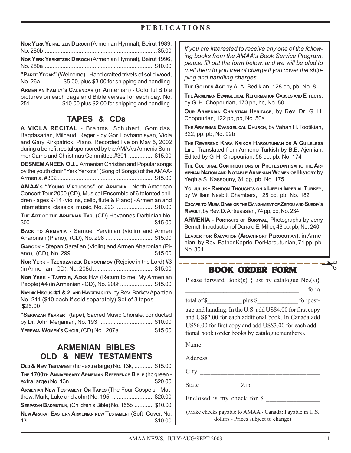## **P U B L I C A T I O N S**

| NOR YERK YERKETZEK DEROCH (Armenian Hymnal), Beirut 1989,     |
|---------------------------------------------------------------|
| NOR YERK YERKETZEK DEROCH (Armenian Hymnal), Beirut 1996,     |
| "PAREE YEGAK" (Welcome) - Hand crafted trivets of solid wood, |

No. 26a ............. \$5.00, plus \$3.00 for shipping and handling, **ARMENIAN FAMILY'S CALENDAR** (in Armenian) - Colorful Bible

pictures on each page and Bible verses for each day. No. 251................... \$10.00 plus \$2.00 for shipping and handling.

## **TAPES & CDs**

**A VIOLA RECITAL** - Brahms, Schubert, Gomidas, Bagdasarian, Milhaud, Reger - by Gor Hovhannisyan, Viola and Gary Kirkpatrick, Piano. Recorded live on May 5, 2002 during a benefit recital sponsored by the AMAA's Armenia Summer Camp and Christmas Committee.#301 ................ \$15.00

**DESNEM ANEEN OU...** Armenian Christian and Popular songs by the youth choir "Yerk Yerkots" (Song of Songs) of the AMAA-Armenia. #302 ............................................................ \$15.00

**AMAA'S "YOUNG VIRTUOSOS" OF ARMENIA** - North American Concert Tour 2000 (CD), Musical Ensemble of 6 talented children - ages 9-14 (violins, cello, flute & Piano) - Armenian and international classical music, No. 293 ........................ \$10.00

**THE ART OF THE ARMENIAN TAR**, (CD) Hovannes Darbinian No. 300............................................................................. \$15.00

**BACK TO ARMENIA** - Samuel Yervinian (violin) and Armen Aharonian (Piano), (CD), No. 298 .............................. \$15.00

**GARODK** - Stepan Sarafian (Violin) and Armen Aharonian (Piano), (CD), No. 299 ................................................... \$15.00

**NOR YERK - TZENDZATZEK DEROCHMOV** (Rejoice in the Lord) #3

(in Armenian - CD), No. 208d ...................................... \$15.00

**NOR YERK - TARTZIR, AZKS HAY** (Return to me, My Armenian People) #4 (in Armenian - CD), No. 208f ..................... \$15.00

**NAYINK HISOUSI #1 & 2, AND HAYREPAGHTS** by Rev. Barkev Apartian No. 211 (\$10 each if sold separately) Set of 3 tapes \$25.00

**"SERPAZAN YERKER"** (tape), Sacred Music Chorale, conducted by Dr. John Merjanian, No. 193 .................................. \$10.00 **YEREVAN WOMEN'S CHOIR**, (CD) No.. 207a ..................... \$15.00

## **ARMENIAN BIBLES OLD & NEW TESTAMENTS**

| <b>OLD &amp; NEW TESTAMENT (hc-extra large) No. 13k,  \$15.00</b> |  |
|-------------------------------------------------------------------|--|
| THE 1700TH ANNIVERSARY ARMENIAN REFERENCE BIBLE (hc green -       |  |
| ARMENIAN NEW TESTAMENT ON TAPES (The Four Gospels - Mat-          |  |
| thew, Mark, Luke and John) No. 195, \$20.00                       |  |
| SERPAZAN BADMUTIUN, (Children's Bible) No. 155b  \$10.00          |  |
| NEW ARARAT EASTERN ARMENIAN NEW TESTAMENT (Soft- Cover, No.       |  |
|                                                                   |  |

*If you are interested to receive any one of the following books from the AMAA's Book Service Program, please fill out the form below, and we will be glad to mail them to you free of charge if you cover the shipping and handling charges.*

**THE GOLDEN AGE** by A. A. Bedikian, 128 pp, pb, No. 8

**THE ARMENIAN EVANGELICAL REFORMATION CAUSES AND EFFECTS**, by G. H. Chopourian, 170 pp, hc, No. 50

**OUR ARMENIAN CHRISTIAN HERITAGE**, by Rev. Dr. G. H. Chopourian, 122 pp, pb, No. 50a

**THE ARMENIAN EVANGELICAL CHURCH**, by Vahan H. Tootikian, 322, pp, pb, No. 92b

**THE REVEREND KARA KRIKOR HAROUTUNIAN OR A GUILELESS LIFE**, Translated from Armeno-Turkish by B.B. Ajemian, Edited by G. H. Chopourian, 58 pp, pb, No. 174

**THE CULTURAL CONTRIBUTIONS OF PROTESTANTISM TO THE AR-MENIAN NATION AND NOTABLE ARMENIAN WOMEN OF HISTORY** by Yeghia S. Kassouny, 61 pp, pb, No. 175

**YOLJULUK - RANDOM THOUGHTS ON A LIFE IN IMPERIAL TURKEY**, by William Nesbitt Chambers, 125 pp, pb, No. 182

**ESCAPE TO MUSA DAGH OR THE BANISHMENT OF ZEITOU AND SUEDIA'S REVOLT**, by Rev. D. Antreassian, 74 pp, pb, No. 234

**ARMENIA - PORTRAITS OF SURVIVAL**, Photographs by Jerry Berndt, Introduction of Donald E. Miller, 48 pp, pb, No. 240

**LEADER FOR SALVATION (ARACHNORT PERGOUTIAN)**, in Armenian, by Rev. Father Kapriel DerHaroutunian, 71 pp, pb. No. 304

## **BOOK ORDER FORM**

Please forward Book(s) {List by catalogue  $No.(s)$ }

 $\Box$  for a

total of \$ plus \$ for postage and handing. In the U.S. add US\$4.00 for first copy and US\$2.00 for each additional book. In Canada add US\$6.00 for first copy and add US\$3.00 for each additional book (order books by catalogue numbers).

Name Address \_\_\_\_\_\_\_\_\_\_\_\_\_\_\_\_\_\_\_\_\_\_\_\_\_\_\_\_\_\_\_\_\_ City State  $\qquad \qquad$  Zip Enclosed is my check for \$ \_\_\_\_\_\_\_\_\_\_\_\_\_\_\_\_

(Make checks payable to AMAA - Canada: Payable in U.S. dollars - Prices subject to change)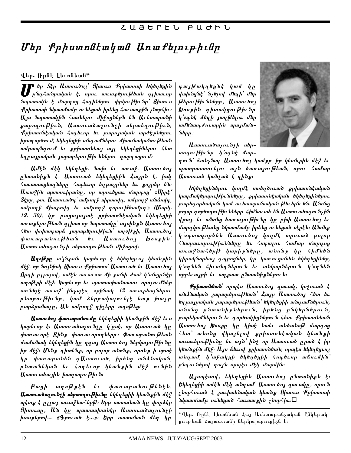# Մեր Քրիստոնէական Առաքեյութիւնը

## վեր. Ռրնէ Լեւոնեան\*

ि եր Տէր Աստուծոյ՝ Ցիսուս Քրիստոսի Եկեղեցին<br>1- ընդՀանրական է, որու առաջելու[ժեան դլիառոր<br>նաատանն է մառուս Հոսհնեոու փոկունեւնո՝ Ցիսուս րար հանրական է, որու առաքելու[ժեան դլխաւոր նպատակն է մարդոց Հոդիներու փրկուխիւնը՝ Ցիսուս Քրիստոսի նկատմամբ ունեցած իրենց Հաւատքին չնորՀիւ։ Այս նպատակին Հասնելու միջոցներն են Աւետարանի քարողուխիւն, Աստուածաչունչի սերտեղուխիւն, Քրիստոնէական Հոգեւոր եւ բարոյական արժէքներու իրագործում, եկեղեցիի անդամներու միասնականուխեան ամրապնդում եւ քրիստոնեայ այլ եկեղեցիներու Հետ եղբայրական յարաբերու|ժիւններու գարգացում։

Ամէն մէկ եկեղեցի, նախ եւ առաջ, Աստուծոյ րնտանիքն է․ Աստուած եկեղեցիին Հայրն է, իսկ հաւատացեալները հոգեւոր եղբայրներ եւ քոյրեր են։ Առաջին պատուիրանը, որ տրուեցաւ մարդոց՝ «Սիրէ՛ Տէրր , քու Աստուածդ՝ ամբող ջ սիրտովդ, ամբող ջ անձովդ, mղեսով դարեպել եւ աղեսո $\delta$  հօհու[գետղեմ» (Որել.  $12$ .  $30$ ), կր բացայայտէ քրիստոնէական եկեղեցիի առաքելուխեան գլխաւոր նպատակը՝ այսինքն Աստուծոյ հետ փոխադարձ յարաբերուխիւն՝ աղօխքի, Աստուծոյ<br>փառաբանուխեան եւ Աստուծոյ Խօսջին՝ *փառաբանուխեան եւ* Աստուածաչունչի սերտողուխեան միջոցով։

Աղօխար ա՛յնքան կարեւոր է եկեղեցւոյ կեանքին մէջ, որ նոյնիսկ Ցիսուս Քրիստոս՝ Աստուած եւ Աստուծոյ Որդի ըլլալով, ամէն առաւօտ մի քանի ժամ կ'անցրնէր աղօխքի մէջ։ Կարեւոր եւ պատասխանատու որոչումներ առ նել է առա $\ell$ ՝ ինչպէս, օրինակ 12 առա քեալներու րնտրութիւնը, կամ ձերբակալուելէ ետք խաչը բարձրանալը, Ան ամբողջ գիչերը աղօխեց։

Աստուծոյ փառաբանումը եկեղեցիի կեանքին մէջ եւս կարեւոր է։ Աստուածաչունչը կ'ըսէ, որ Աստուած կը փառաւորէ Զինք փառաւորողները։ Փառաբանուխեան ժամանակ եկեղեցին կր զգայ Աստուծոյ ներկայուխիւնը իր մէջ։ Մենք գիտենք, որ բոլոր անոնք, որոնք ի սրտէ կր փառաբանեն գԱստուած, իրենց անձնական, րնտանեկան եւ Հոդեւոր կեանքին մէջ ունին Աստուածային խաղաղուխիւն։

Բացի աղօխքեն եւ փառաբանուխենէն, Աստուածաչունչի սերտողութիւնը եկեղեցիի կեանքին մէջ պէտք է ըլլայ առաջնաՀերխ։ Երբ սատանան կը փորձէր Ցիսուսը, Ան կը պատասխանէր Աստուածաչունչի խօսքերով.- «Գրուած է...»։ Երբ սատանան մեզ կը

դայխակղեցնէ կամ կր վախնցնէ՝ նչելով մեզի՝ մեր խերուխիւնները, Աստուծոյ Խօսքին գիտակցութիւնը կ'օգնէ մեզի յաղթերու մեր ամենադժուարին պայմանները ։

Աստուածաչունչի սերտողուխիւնը կ'օգնէ մար-

դուն՝ ճանչնալ Աստուծոյ կամքը իր կեանքին մէջ եւ պատրաստուելու այն ծառայուխեան, որու Համար Աստուած կանչած է գինք։

Եկեղեցիներու կողմէ ստեղծուած քրիստոնէական կազմակերպու[ժիւնմերը, քրիստոնէական եկեղեցիներու բարեգործական կամ աւետարանական |ժեւերն են։ Անոնց բոլոր գործողու|ժիւնները Հիմնուած են Աստուածաչունչին վրայ, եւ անոնց ծառայուխիւնը կը բիփ Աստուծոյ եւ մարդկու|ժեանց նկատմամբ իրենց ունեցած սէրէն։ Անոնջ կ'օդտադործեն Աստուծոյ կողմէ տրուած բոլոր Հ<mark>նարաւորու</mark>թիւնները եւ Հոգալու Համար մարդոց առաջնահերխ կարիջները, անոնջ կը հիմնեն կիրակնօրեայ դպրոցներ, կր կառուցանեն եկեղեցիներ, կ'օդնեն Հիւանդներուն եւ անկարներուն, կ'օդնեն որբեւայրի եւ աղջատ ընտանիջներուն։

 $\mathcal{F}$ րիստոնեան՝ որպէս Աստուծոյ գաւակ, կոչուած է անձնական յարաբերուխեան՝ Հայր Աստուծոյ Հետ եւ եղբայրական յարաբերու|ժեան՝ եկեղեցիի անդամներուն, անոնց ընտանիքներուն, իրենց ընկերներուն, բարեկամներուն եւ գործակիցներուն Հետ։ Քրիստոնեան Աստուծոյ Խօսքը կը կիսէ նաեւ անծանօխ մարդոց հետ՝ անոնց վկայելով քրիստոնէական կեանքի առաւելու|ժիւնը եւ այն՝ ինչ որ Աստուած ըրած է իր կեանքին մէջ։ Այս ձեւով քրիստոնեան, որպէս եկեղեցւոյ անդամ, կ'աያակցի եկեղեցիի Հոգեւոր աճումին՝ ընդունելով զայն որպէս մէկ մարմին։

 $\boldsymbol{u}_1$ ապէսով, եկեղեցին Աստուծոյ ընտանիքն է։ Եկեղեցիի ամէն մէկ անդամ՝ Աստուծոյ գաւակը, որուն չնորՀուած է յաւիտենական կեանք Ցիսուս Քրիստոսի  $h$ կատմամբ ունեցած Հաւատքին չնոր $\zeta$ իւ։ $\Box$ 

\*վեր. Ռրնէ Լեւոնեան Հայ Աւետարանչական Ընկերակցութեան Հայաստանի ներկայացուցիչն է։

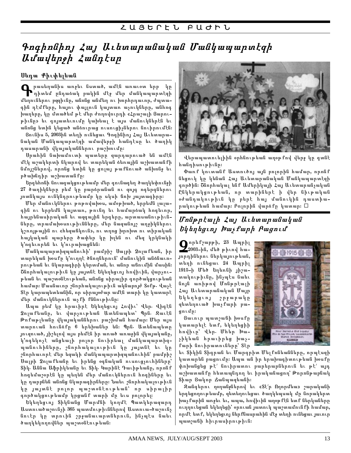# $\bm{p}$  Գոգիոնիոյ Հայ Աւետարանական Մանկապարտէզի Udwybpph Zwantup

## Սեդա Քիւփելեան

Puutiquuli marustu liummo, multu mnuuon tipp yn  $\bullet$ դիտեմ ընդաձակ բակին մէջ մեր մանկապարտէզի մեղուներու բզզիւնը, անոնց անմեղ ու խորհրդաւոր, ժպտագին դէմքերը, հայու փայլուն կայտառ աչուկները, անհոգ խաղերը, կը մտածեմ թէ մեր ժողովուրդի «Հրաշալի Ցարութիւնը» եւ գոյատեւումը կախեալ է այս մանուկներէն եւ անոնց ետին կեցած անձուրաց ուսուցիչներու նուիրումէն։

Ցունիս 5, 2003ին տեղի ունեցաւ Գոգինիոյ Հայ Աւետարանական Մանկապարտէզի ամավերջի հանդէսը եւ ծաղիկ դասարանի վկայականներու բաշխումը։

Սրահին նախամուտի պատերը զարդարուած են ամէն մէկ աշակերտի նկարով եւ տարեկան ձեռային աշխատանքի նմոյշներով, որոնց ետին կը ցոլայ թաքնուած անխոնջ եւ րծախնդիր աշխատանքը։

Երգեհոնի նուագակցութեամբ մեր գունագեղ ծաղկեփունջի 27 ծաղիկները բեմ կը բարձրանան ու զոյգ ոգերգներու յոտնկայս ունկնդրութեամբ կը սկսի ճոխ յայտագիրը։

Մեր մանուկներու թոթովախօս, ամօթխած, երբեմն լալագին ու երբեմն կայտառ, թունդ եւ համարձակ հոգեւոր, հայրենասիրական եւ ազգային երգերը, արտասանութիւնները, տրամախօսութիւնները, մեր նազանոյշ աղջիկներու կշռոյթային ու «հեզաճկուն», ու տղոց խրոխտ ու տիրական հայկական պարերը ծափեր կը խլեն ու մեզ կրկնակի կ'ոգեւորեն եւ կ'ուրախացնեն։

Մանկապարտիզպանուհի՝ բամբիշ Սալբի Չոլաքեան, իր տարեկան խօսքը կ'ուղղէ ծնողներուն՝ մանուկին անձնաւորութեան եւ նկարագիրի կերտման, եւ անոր աճումին մասին։ Շնորհակալութիւն կը յայտնէ Եկեղեցւոյ հովիւին, վարչութեան եւ պաշտօնէութեան, անոնց սիրալիր գործակցութեան hամար։ Մասնաւոր շնորհակալութիւն ակնարոյժ Տօքթ. Վաչէ Տէր կարապետեանին, որ սիրայօժար ամէն տարի կը կատարէ մեր մանուկներուն աչքի քննութիւնը։

Ապա բեմ կը հրաւիրէ Եկեղեցւոյ Հովիւ՝ Վեր. վիգէն Չոլաքեանը, եւ վարչութեան Ատենապետ՝ Պրն. Զաւէն Թոքաթլեանը վկայականներու բաշխման համար։ Մեր այս տարուան հունձքը 6 երեխաներ են։ Պրն․ Ատենապետը յուզուած, յիշելով այս բեմէն իր առած առաջին վկայականը, կ'ոգեկոչէ անցեալի բոլոր նուիրեալ մանկապարտիզպանուհիները, շնորհակալութիւն կը յայտնէ եւ կը շնորհաւորէ մեր եզակի մանկապարտիզպանուհին՝ բամբիշ Սալբի Չոլաքեանը եւ իրենց օգնական ուսուցչուհիները՝ Տիկ. Աննա Աֆրիկեանը եւ Տիկ. Կարինէ Դաւիթեանը, որոնք հոգեմաշօրէն կը պեղեն մեր մանուկներուն հոգիները եւ կը դարբնեն անոնց նկարագիրները։ Նաեւ շնորհակալութիւն կը յայտնէ բոլոր պաշտօնէութեան՝ որ սիրալիր գործակցութեամբ կրցանք տարի մը եւս բոլորել։

Եկեղեցւոյ Տիկնանց Մարմնի կողմէ Պատկերազարդ Աստուածաշունչի 365 պատմութիւններով Աստուա-ծաշունչ նուէր կր տրուին շրջանաւարտներուն, ինչպէս նաեւ ծաղկեկողովներ պաշտօնէութեան։



վերապատուելիին օրհնութեան աղօթքով վերջ կր գտնէ հանդիսութիւնը։

Փառք կուտանք Աստուծոյ այն բոլորին համար, որոնք նեցուկ կը կենան Հայ Աւետարանական Մանկապարտէզի գործին։ Շնորհակալ ենք Ամերիկայի Հայ Աւետարանչական Ընկերակցութեան, որ տարիներէ ի վեր նիւթական օժանդակութիւն կը բերէ հայ մանուկին դաստիարակութեան համար։ Բոլորին վարձքը կատար։ □

# $Unf$ <sub>P</sub>  $f$ *u<sub>l</sub>h*  $\zeta$ *ul*,  $U$   $L$   $t$ *u*  $m$   $m$   $d$   $m$   $d$  $b$ կեղեցւոյ Խաչքարի Բացում

● որեքշարթի, 23 Ապրիլ<br>- 2003-ին, մեծ թիւով հա<br>յորդիներու ներկայութեան, **≧**2003-ին, մեծ թիւով հայորդիներու ներկայութեան, տեղի ունեցաւ 24 Ապրիլ 1915-ի Մեծ Եղեռնի յիշատակութիւնը, ինչպէս նաեւ նոյն առիթով Մոնթրէալի Հայ Աւետարանական Մայր Եկեղեցւոյ շրջաբակը զետեղուած խաչքարի բացումը։

Ցաւուր պատշանի խօսքը կատարելէ ետք, եկեղեցիի հովիւը՝ Վեր. Մհեր Խա $y$ իկեան հրաւիրեց խաչքարի նուիրատուները՝ Տէր



եւ Տիկին Տիգրան եւ Մարգրիտ Մելքոնեանները, որպէսզի կատարեն բացումը։ Ապա ան իր երախագիտութեան խօսքը փոխանցեց թէ՛ նուիրատու բարերարներուն եւ թէ՛ այդ աշխատանքը հետապնդող եւ իրականացող՝ Թորոնթաբնակ Տիար Ցակոր Ճանպազեանի։

Զանգերու ղօղանջներով եւ «Տէ՛ր Ողորմեա» շարականի երգեցողութեամբ, զետեղուեցաւ ծաղկեպսակ մը նորակերտ խաչքարին առջեւ եւ, ապա, հովիւին աղօթքէն ետք ներկաները ուղղուեցան եկեղեցի՝ օրուան յատուկ պաշտամունքի համար, որմէ ետք, եկեղեցւոյ ներքնասրահին մէջ տեղի ունեցաւ յաւուր պատշանի հիւրասիրութիւն։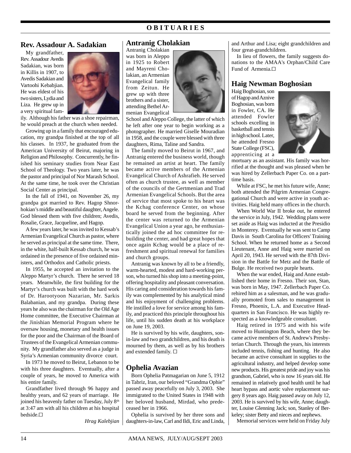## **O B I T U A R I E S**

### **Rev. Assadour A. Sadakian**

My grandfather, Rev. Assadour Avedis Sadakian, was born in Killis in 1907, to Avedis Sadakian and Vartoohi Kebabjian. He was eldest of his two sisters, Lydia and Liza. He grew up in a very spiritual fam-



ily. Although his father was a shoe repairman, he would preach at the church when needed.

Growing up in a family that encouraged education, my grandpa finished at the top of all his classes. In 1937, he graduated from the American University of Beirut, majoring in Religion and Philosophy. Concurrently, he finished his seminary studies from Near East School of Theology. Two years later, he was the pastor and principal of Nor Marash School. At the same time, he took over the Christian Social Center as principal.

In the fall of 1941, on November 26, my grandpa got married to Rev. Hagop Shnorhokian's middle and beautiful daughter, Angele. God blessed them with five children; Avedis, Rosalie, Grace, Jacqueline, and Hagop.

A few years later, he was invited to Kessab's Armenian Evangelical Church as pastor, where he served as principal at the same time. There, in the white, half-built Kessab church, he was ordained in the presence of five ordained ministers, and Orthodox and Catholic priests.

In 1955, he accepted an invitation to the Aleppo Martyr's church. There he served 18 years. Meanwhile, the first building for the Martyr's church was built with the hard work of Dr. Harootyoon Nazarian, Mr. Sarkis Balabanian, and my grandpa. During these years he also was the chairman for the Old Age Home committee, the Executive Chairman at the Jinishian Memorial Program where he oversaw housing, monetary and health issues for the poor and the Chairman of the Board of Trustees of the Evangelical Armenian community. My grandfather also served as a judge in Syria's Armenian community divorce court.

In 1973 he moved to Beirut, Lebanon to be with his three daughters. Eventually, after a couple of years, he moved to America with his entire family.

Grandfather lived through 96 happy and healthy years, and 62 years of marriage. He joined his heavenly father on Tuesday, July 8<sup>th</sup> at 3:47 am with all his children at his hospital bedside.G

*Hrag Kalebjian*

### **Antranig Cholakian**

Antranig Cholakian was born in Aleppo in 1925 to Robert and Mayreni Cholakian, an Armenian Evangelical family from Zeitun. He grew up with three brothers and a sister, attending Bethel Armenian Evangelical



School and Aleppo College, the latter of which he left after one year to begin working as a photographer. He married Giselle Mouradian in 1958, and the couple were blessed with three daughters, Rima, Taline and Sandra.

The family moved to Beirut in 1967, and Antranig entered the business world, though he remained an artist at heart. The family became active members of the Armenian Evangelical Church of Ashrafieh. He served often as church trustee, as well as member of the councils of the Gertmenian and Trad Armenian Evangelical Schools. But the area of service that most spoke to his heart was the Kchag conference Center, on whose board he served from the beginning. After the center was returned to the Armenian Evangelical Union a year ago, he enthusiastically joined the ad hoc committee for rebuilding the center, and had great hopes that once again Kchag would be a place of refreshment and spiritual renewal for families and church groups.

Antranig was known by all to be a friendly, warm-hearted, modest and hard-working person, who turned his shop into a meeting-point, offering hospitality and pleasant conversation. His caring and consideration towards his family was complemented by his analytical mind and his enjoyment of challenging problems. He instilled a love for service among his family, and practiced this principle throughout his life, until his sudden death at his workplace on June 19, 2003.

He is survived by his wife, daughters, sonin-law and two grandchildren, and his death is mourned by them, as well as by his brothers and extended family.  $\square$ 

### **Ophelia Avazian**

Born Ophelia Patmagarian on June 5, 1912 in Tabriz, Iran, our beloved "Grandma Ophie" passed away peacefully on July 3, 2003. She immigrated to the United States in 1948 with her beloved husband, Mirdad, who predeceased her in 1966.

Ophelia is survived by her three sons and daughters-in-law, Carl and Ildi, Eric and Linda, and Arthur and Lisa; eight grandchildren and four great-grandchildren.

In lieu of flowers, the family suggests donations to the AMAA's Orphan/Child Care Fund of Armenia.□

### **Haig Newman Boghosian**

Haig Boghosian, son of Hagop and Aznive Boghosian, was born in Fowler, CA. He attended Fowler schools excelling in basketball and tennis in high school. Later, he attended Fresno State College (FSC), apprenticing at a



mortuary as an assistant. His family was horrified at the thought and was pleased when he was hired by Zellerbach Paper Co. on a parttime basis.

While at FSC, he met his future wife, Anne; both attended the Pilgrim Armenian Congregational Church and were active in youth activities. Haig held many offices in the church.

When World War II broke out, he entered the service in July, 1942. Wedding plans were set aside as Haig was inducted at the Presidio in Monterey. Eventually he was sent to Camp Davis in South Carolina for Officers' Training School. When he returned home as a Second Lieutenant, Anne and Haig were married on April 20, 1943. He served with the 87th Division in the Battle for Metz and the Battle of Bulge. He received two purple hearts.

When the war ended, Haig and Anne established their home in Fresno. Their son, Stan, was born in May, 1947. Zellerbach Paper Co. rehired him as a salesman, and he was gradually promoted from sales to management in Fresno, Phoenix, L.A. and Executive Headquarters in San Francisco. He was highly respected as a knowledgeable consultant.

Haig retired in 1975 and with his wife moved to Huntington Beach, where they became active members of St. Andrew's Presbyterian Church. Through the years, his interests included tennis, fishing and hunting. He also became an active consultant in supplies to the agricultural industry, and helped develop some new products. His greatest pride and joy was his grandson, Gabriel, who is now 16 years old. He remained in relatively good health until he had heart bypass and aortic valve replacement surgery 8 years ago. Haig passed away on July 12, 2003. He is survived by his wife, Anne; daughter, Louise Glenning Jack; son, Stanley of Berkeley; sister Betty and nieces and nephews.

Memorial services were held on Friday July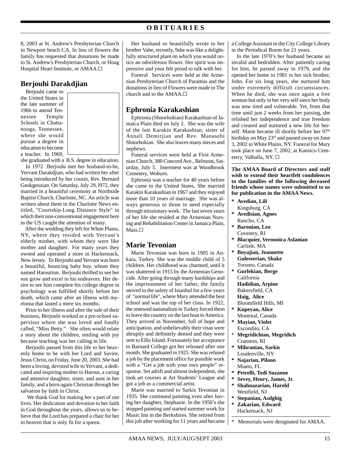## **O B I T U A R I E S**

8, 2003 at St. Andrew's Presbyterian Church in Newport beach CA. In lieu of flowers the family has requested that donations be made to St. Andrew's Presbyterian Church, or Hoag Hospital Heart Institute, or AMAA. $\Box$ 

## **Berjouhi Darakdjian**

Berjouhi came to the United States in the late summer of 1966 to attend Tennessee Temple Schools in Chattanooga, Tennessee, where she would pursue a degree in education to become a teacher. In 1969,



she graduated with a B.S. degree in education. In 1972 Berjouhi met her husband-to-be, Yervant Darakdjian, who had written her after being introduced by her cousin, Rev. Bernard Geukgeuzian. On Saturday, July 29, l972, they married in a beautiful ceremony at Northside Baptist Church, Charlotte, NC. An article was written about them in the Charlotte News entitled, "Courtship-Long Distance Style" in which their non-conventional engagement here in the US caught the attention of many.

 After the wedding they left for White Plains, NY, where they resided with Yervant's elderly mother, with whom they were like mother and daughter. For many years they owned and operated a store in Hackensack, New Jersey. To Berjouhi and Yervant was born a beautiful, bouncing baby boy, whom they named Haroutiun. Berjouhi thrilled to see her son grow and excel in his endeavors. Her desire to see him complete his college degree in psychology was fulfilled shortly before her death, which came after an illness with myeloma that lasted a mere six months.

Prior to her illness and after the sale of their business, Berjouhi worked as a pre-school supervisor where she was loved and fondly called, "Miss Betty." She often would relate a story about the children, smiling with joy because teaching was her calling in life.

Berjouhi passed from this life to her heavenly home to be with her Lord and Savior, Jesus Christ, on Friday, June 20, 2003. She had been a loving, devoted wife to Yervant, a dedicated and inspiring mother to Harout, a caring and attentive daughter, sister, and aunt in her family, and a born-again Christian through her salvation by faith in Christ.

 We thank God for making her a part of our lives. Her dedication and devotion to her faith in God throughout the years, allows us to believe that the Lord has prepared a chair for her in heaven that is only fit for a queen.

Her husband so beautifully wrote to her brother Vahe, recently, 9she was like a delightfully structured plant on which you would notice an odoriferous flower. Her spirit was impressive and your felt proud to talk with her.

Funeral Services were held at the Armenian Presbyterian Church of Paramus and the donations in lieu of Flowers were made to The church and to the AMAA.<sup> $\Box$ </sup>

## **Ephronia Karakashian**

Ephronia (Shnorhokian) Karakashian of Jamaica Plain died on July 2. She was the wife of the late Karakin Karakashian, sister of Annali Demirjian and Rev. Manasehi Shnorhokian. She also leaves many nieces and nephews.

Funeral services were held at First Armenian Church, 380 Concord Ave., Belmont, Saturday, July 5. Interment was at Woodbrook Cemetery, Woburn.

Ephronia was a teacher for 40 years before she came to the United States. She married Karakin Karakashian in 1967 and they enjoyed more than 10 years of marriage. She was always generous to those in need especially through missionary work. The last seven years of her life she resided at the Armenian Nursing and Rehabilitation Center in Jamaica Plain, Mass.<sup> $\Box$ </sup>

## **Marie Tevonian**

Marie Tevonian was born in 1905 in Ankara, Turkey. She was the middle child of 5 children. Her childhood was charmed, until it was shattered in 1915 by the Armenian Genocide. After going through many hardships and the imprisonment of her father, the family moved to the safety of Istanbul for a few years of "normal life", where Mary attended the best school and was the top of her class. In 1922, the renewed nationalism in Turkey forced them to leave the country on the last boat to America. They arrived in November, full of hope and anticipation, and unbelievably their visas were abruptly and definitely denied and they were sent to Ellis Island. Fortunately her acceptance to Barnard College got her released after one month. She graduated in 1925. She was refused a job by the placement office for possible work with a "Get a job with your own people" response. Set adrift and almost independent, she took art courses at Art Students' League and got a job as a commercial artist.

Marie was married to Sarkis Tevonian in 1935. She continued painting even after having her daughter, Stephanie. In the 1950's she stopped painting and started summer work for Music Inn in the Berkshires. She retired from this job after working for 11 years and became a College Assistant in the City College Library in the Periodical Room for 21 years.

In the late 1970's her husband became an invalid and bedridden. After patiently caring for him, he passed away in 1979, and she opened her home in 1981 to her sick brother, John. For six long years, she nurtured him under extremely difficult circumstances. When he died, she was once again a free woman but only in her very self since her body was now tired and vulnerable. Yet, from that time until just 2 weeks from her passing, she relished her independence and true freedom and created and nurtured a new life for herself. Marie became ill shortly before her 97<sup>th</sup> birthday on May 23rd and passed away on June 3, 2002 in White Plains, NY. Funeral for Mary took place on June 7, 2002, at Kansico Cemetery, Valhalla, NY. G

**The AMAA Board of Directors and staff wish to extend their heartfelt condolences to the families of the following deceased friends whose names were submitted to us for publication in the AMAA News.**

- **\* Avedian, Lili**
- Kingsburg, CA
- **\* Avedisian, Agnes**
- Rancho, CA
- **\* Baronian, Leo** Coventry, RI
- **\* Blacquier, Vernonica Aslanian** Carlisle, MA
- **\* Boyajian, Jeannette Gulesserian, Shake** Toronto, Canada
- **\* Gurlekian, Berge** California **Hadidian, Arpine** Bakersfield, CA **Haig, Alice**
- Bloomfield Hills, MI **\* Kupeyan, Alice**
- Montreal, Canada **\* Mayian, Violet**
- Escondito, CA
- \* **Megridichian, Megridich** Cranston, RI
- **\* Mihranian, Sarkis** Loudenville, NY
- **\* Najarian, Piloon** Miami, FL
- **\* Petrelli, Tedi Suzanne**
- **\* Sevey, Henry, James, Jr.**
- **\* Shahnazarian, Harold** Westfield, NJ
- **\* Stepanian, Asdghig \* Zakarian, Edward** Hackensack, NJ
- Memorials were designated for AMAA.